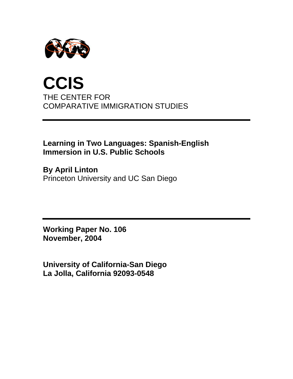

# **CCIS**  THE CENTER FOR COMPARATIVE IMMIGRATION STUDIES

## **Learning in Two Languages: Spanish-English Immersion in U.S. Public Schools**

**By April Linton**  Princeton University and UC San Diego

**Working Paper No. 106 November, 2004** 

**University of California-San Diego La Jolla, California 92093-0548**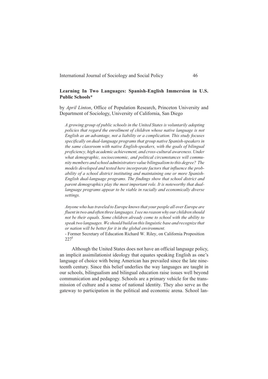#### **Learning In Two Languages: Spanish-English Immersion in U.S. Public Schools\***

by *April Linton*, Office of Population Research, Princeton University and Department of Sociology, University of California, San Diego

*A growing group of public schools in the United States is voluntarily adopting policies that regard the enrollment of children whose native language is not English as an advantage, not a liability or a complication. This study focuses specifically on dual-language programs that group native Spanish-speakers in the same classroom with native English-speakers, with the goals of bilingual proficiency, high academic achievement, and cross-cultural awareness. Under what demographic, socioeconomic, and political circumstances will community members and school administrators value bilingualism to this degree? The models developed and tested here incorporate factors that influence the probability of a school district instituting and maintaining one or more Spanish-English dual-language programs. The findings show that school district and parent demographics play the most important role. It is noteworthy that duallanguage programs appear to be viable in racially and economically diverse settings.*

*Anyone who has traveled to Europe knows that your people all over Europe are fluent in two and often three languages. I see no reason why our children should not be their equals. Some children already come to school with the ability to speak two languages. We should build on this linguistic base and recognize that or nation will be better for it in the global environment.*

- Former Secretary of Education Richard W. Riley, on California Proposition  $227<sup>1</sup>$ 

Although the United States does not have an official language policy, an implicit assimilationist ideology that equates speaking English as one's language of choice with being American has prevailed since the late nineteenth century. Since this belief underlies the way languages are taught in our schools, bilingualism and bilingual education raise issues well beyond communication and pedagogy. Schools are a primary vehicle for the transmission of culture and a sense of national identity. They also serve as the gateway to participation in the political and economic arena. School lan-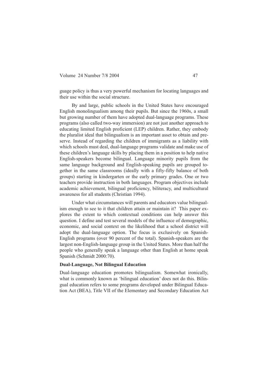guage policy is thus a very powerful mechanism for locating languages and their use within the social structure.

By and large, public schools in the United States have encouraged English monolingualism among their pupils. But since the 1960s, a small but growing number of them have adopted dual-language programs. These programs (also called two-way immersion) are not just another approach to educating limited English proficient (LEP) children. Rather, they embody the pluralist ideal that bilingualism is an important asset to obtain and preserve. Instead of regarding the children of immigrants as a liability with which schools must deal, dual-language programs validate and make use of these children's language skills by placing them in a position to help native English-speakers become bilingual. Language minority pupils from the same language background and English-speaking pupils are grouped together in the same classrooms (ideally with a fifty-fifty balance of both groups) starting in kindergarten or the early primary grades. One or two teachers provide instruction in both languages. Program objectives include academic achievement, bilingual proficiency, biliteracy, and multicultural awareness for all students (Christian 1994).

Under what circumstances will parents and educators value bilingualism enough to see to it that children attain or maintain it? This paper explores the extent to which contextual conditions can help answer this question. I define and test several models of the influence of demographic, economic, and social context on the likelihood that a school district will adopt the dual-language option. The focus is exclusively on Spanish-English programs (over 90 percent of the total). Spanish-speakers are the largest non-English-language group in the United States. More than half the people who generally speak a language other than English at home speak Spanish (Schmidt 2000:70).

#### **Dual-Language, Not Bilingual Education**

Dual-language education promotes bilingualism. Somewhat ironically, what is commonly known as 'bilingual education' does not do this. Bilingual education refers to some programs developed under Bilingual Education Act (BEA), Title VII of the Elementary and Secondary Education Act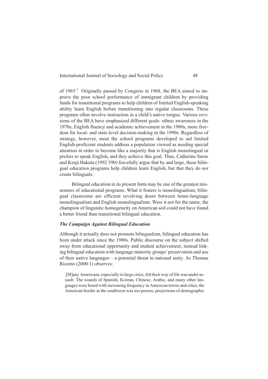of 1965. Originally passed by Congress in 1968, the BEA aimed to improve the poor school performance of immigrant children by providing funds for transitional programs to help children of limited English-speaking ability learn English before transitioning into regular classrooms. These programs often involve instruction in a child's native tongue. Various revisions of the BEA have emphasized different goals: ethnic awareness in the 1970s, English fluency and academic achievement in the 1980s, more freedom for local- and state-level decision-making in the 1990s. Regardless of strategy, however, most the school programs developed to aid limited English-proficient students address a population viewed as needing special attention in order to become like a majority that is English monolingual or prefers to speak English, and they achieve this goal. Thus, Catherine Snow and Kenji Hakuta (1992:390) forcefully argue that by and large, these bilingual education programs help children learn English, but that they do *not* create bilinguals:

Bilingual education in its present form may be one of the greatest misnomers of educational programs. What it fosters is monolingualism; bilingual classrooms are efficient revolving doors between home-language monolingualism and English monolingualism. Were it not for the name, the champion of linguistic homogeneity on American soil could not have found a better friend than transitional bilingual education.

#### *The Campaign Against Bilingual Education*

Although it actually does not promote bilingualism, bilingual education has been under attack since the 1980s. Public discourse on the subject shifted away from educational opportunity and student achievement, instead linking bilingual education with language minority groups'preservation and use of their native languages – a potential threat to national unity. As Thomas Ricento (2000:1) observes:

[M]any Americans, especially in large cities, felt their way of life was under assault. The sounds of Spanish, Korean, Chinese, Arabic, and many other languages were heard with increasing frequency in American towns and cities; the American border in the southwest was too porous; projections of demographic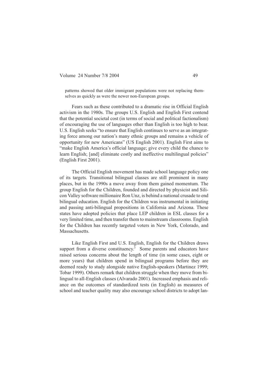patterns showed that older immigrant populations were not replacing themselves as quickly as were the newer non-European groups.

Fears such as these contributed to a dramatic rise in Official English activism in the 1980s. The groups U.S. English and English First contend that the potential societal cost (in terms of social and political factionalism) of encouraging the use of languages other than English is too high to bear. U.S. English seeks "to ensure that English continues to serve as an integrating force among our nation's many ethnic groups and remains a vehicle of opportunity for new Americans" (US English 2001). English First aims to "make English America's official language; give every child the chance to learn English; [and] eliminate costly and ineffective multilingual policies" (English First 2001).

The Official English movement has made school language policy one of its targets. Transitional bilingual classes are still prominent in many places, but in the 1990s a move away from them gained momentum. The group English for the Children, founded and directed by physicist and Silicon Valley software millionaire Ron Unz, is behind a national crusade to end bilingual education. English for the Children was instrumental in initiating and passing anti-bilingual propositions in California and Arizona. These states have adopted policies that place LEP children in ESL classes for a very limited time, and then transfer them to mainstream classrooms. English for the Children has recently targeted voters in New York, Colorado, and Massachusetts.

Like English First and U.S. English, English for the Children draws support from a diverse constituency. $3$  Some parents and educators have raised serious concerns about the length of time (in some cases, eight or more years) that children spend in bilingual programs before they are deemed ready to study alongside native English-speakers (Martinez 1999; Tobar 1999). Others remark that children struggle when they move from bilingual to all-English classes (Alvarado 2001). Increased emphasis and reliance on the outcomes of standardized tests (in English) as measures of school and teacher quality may also encourage school districts to adopt lan-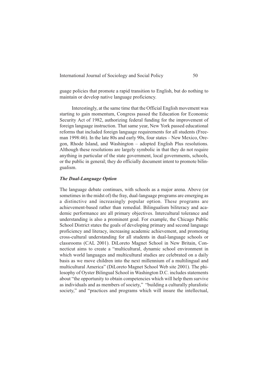guage policies that promote a rapid transition to English, but do nothing to maintain or develop native language proficiency.

Interestingly, at the same time that the Official English movement was starting to gain momentum, Congress passed the Education for Economic Security Act of 1982, authorizing federal funding for the improvement of foreign language instruction. That same year, New York passed educational reforms that included foreign language requirements for all students (Freeman 1998:46). In the late 80s and early 90s, four states – New Mexico, Oregon, Rhode Island, and Washington – adopted English Plus resolutions. Although these resolutions are largely symbolic in that they do not require anything in particular of the state government, local governments, schools, or the public in general; they do officially document intent to promote bilingualism.

#### *The Dual-Language Option*

The language debate continues, with schools as a major arena. Above (or sometimes in the midst of) the fray, dual-language programs are emerging as a distinctive and increasingly popular option. These programs are achievement-based rather than remedial. Bilingualism biliteracy and academic performance are all primary objectives. Intercultural tolerance and understanding is also a prominent goal. For example, the Chicago Public School District states the goals of developing primary and second language proficiency and literacy, increasing academic achievement, and promoting cross-cultural understanding for all students in dual-language schools or classrooms (CAL 2001). DiLoreto Magnet School in New Britain, Connecticut aims to create a "multicultural, dynamic school environment in which world languages and multicultural studies are celebrated on a daily basis as we move children into the next millennium of a multilingual and multicultural America" (DiLoreto Magnet School Web site 2001). The philosophy of Oyster Bilingual School in Washington D.C. includes statements about "the opportunity to obtain competencies which will help them survive as individuals and as members of society," "building a culturally pluralistic society," and "practices and programs which will insure the intellectual,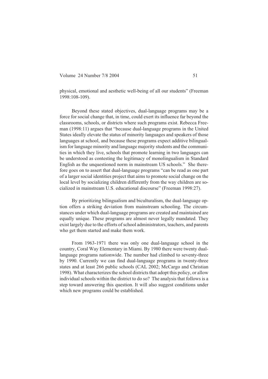physical, emotional and aesthetic well-being of all our students" (Freeman 1998:108-109).

Beyond these stated objectives, dual-language programs may be a force for social change that, in time, could exert its influence far beyond the classrooms, schools, or districts where such programs exist. Rebecca Freeman (1998:11) argues that "because dual-language programs in the United States ideally elevate the status of minority languages and speakers of those languages at school, and because these programs expect additive bilingualism for language minority and language majority students and the communities in which they live, schools that promote learning in two languages can be understood as contesting the legitimacy of monolingualism in Standard English as the unquestioned norm in mainstream US schools." She therefore goes on to assert that dual-language programs "can be read as one part of a larger social identities project that aims to promote social change on the local level by socializing children differently from the way children are socialized in mainstream U.S. educational discourse" (Freeman 1998:27).

By prioritizing bilingualism and biculturalism, the dual-language option offers a striking deviation from mainstream schooling. The circumstances under which dual-language programs are created and maintained are equally unique. These programs are almost never legally mandated. They exist largely due to the efforts of school administrators, teachers, and parents who get them started and make them work.

From 1963-1971 there was only one dual-language school in the country, Coral Way Elementary in Miami. By 1980 there were twenty duallanguage programs nationwide. The number had climbed to seventy-three by 1990. Currently we can find dual-language programs in twenty-three states and at least 266 public schools (CAL 2002; McCargo and Christian 1998). What characterizes the school districts that adopt this policy, or allow individual schools within the district to do so? The analysis that follows is a step toward answering this question. It will also suggest conditions under which new programs could be established.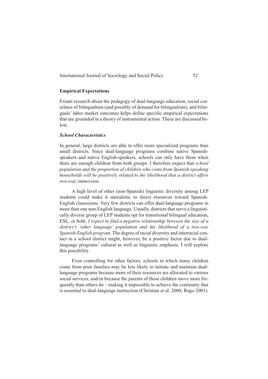### **Empirical Expectations**

Extant research about the pedagogy of dual-language education, social correlates of bilingualism (and possibly of demand for bilingualism), and bilinguals' labor market outcomes helps define specific empirical expectations that are grounded in a theory of instrumental action. These are discussed below.

#### *School Characteristics*

In general, large districts are able to offer more specialized programs than small districts. Since dual-language programs combine native Spanishspeakers and native English-speakers, schools can only have them when there are enough children from both groups. I therefore expect that *school population and the proportion of children who come from Spanish-speaking households will be positively related to the likelihood that a district offers two-way immersion.*

A high level of other (non-Spanish) linguistic diversity among LEP students could make it unrealistic to direct resources toward Spanish-English classrooms. Very few districts can offer dual-language programs in more than one non-English language. Usually, districts that serve a linguistically diverse group of LEP students opt for transitional bilingual education, ESL, or both. *I expect to find a negative relationship between the size of a district's 'other language' population and the likelihood of a two-way Spanish-English program.* The degree of racial diversity and interracial contact in a school district might, however, be a positive factor due to duallanguage programs' cultural as well as linguistic emphasis. I will explore this possibility.

Even controlling for other factors, schools in which many children come from poor families may be less likely to initiate and maintain duallanguage programs because more of their resources are allocated to various social services, and/or because the parents of these children move more frequently than others do – making it impossible to achieve the continuity that is essential to dual-language instruction (Christian et al. 2000; Rago 2001).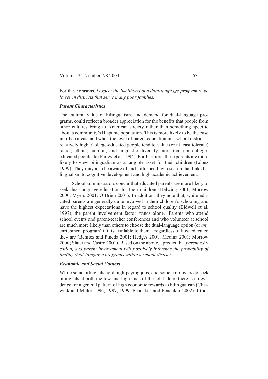For these reasons, *I expect the likelihood of a dual-language program to be lower in districts that serve many poor families.*

#### *Parent Characteristics*

The cultural value of bilingualism, and demand for dual-language programs, could reflect a broader appreciation for the benefits that people from other cultures bring to American society rather than something specific about a community's Hispanic population. This is more likely to be the case in urban areas, and when the level of parent education in a school district is relatively high. College-educated people tend to value (or at least tolerate) racial, ethnic, cultural, and linguistic diversity more that non-collegeeducated people do (Farley et al. 1994). Furthermore, these parents are more likely to view bilingualism as a tangible asset for their children (López 1999). They may also be aware of and influenced by research that links bilingualism to cognitive development and high academic achievement.

School administrators concur that educated parents are more likely to seek dual-language education for their children (Helwing 2001; Morrow 2000; Myers 2001; O'Brien 2001). In addition, they note that, while educated parents are generally quite involved in their children's schooling and have the highest expectations in regard to school quality (Bidwell et al. 1997), the parent involvement factor stands alone.<sup>4</sup> Parents who attend school events and parent-teacher conferences and who volunteer at school are much more likely than others to choose the dual-language option (or *any* enrichment program) if it is available to them – regardless of how educated they are (Benitez and Pineda 2001; Hedges 2001; Medina 2001; Morrow 2000; Slater and Castro 2001). Based on the above, I predict that *parent education, and parent involvement will positively influence the probability of finding dual-language programs within a school district.*

#### *Economic and Social Context*

While some bilinguals hold high-paying jobs, and some employers do seek bilinguals at both the low and high ends of the job ladder, there is no evidence for a general pattern of high economic rewards to bilingualism (Chiswick and Miller 1996, 1997, 1999; Pendakur and Pendakur 2002). I thus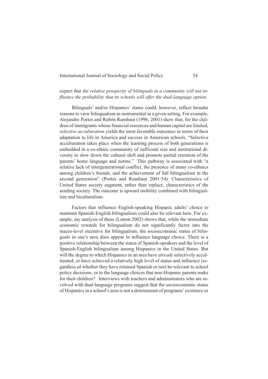### expect that *the relative prosperity of bilinguals in a community will not influence the probability that its schools will offer the dual-language option.*

Bilinguals' and/or Hispanics' status could, however, reflect broader reasons to view bilingualism as instrumental in a given setting. For example, Alejandro Portes and Rubén Rumbaut (1996, 2001) show that, for the children of immigrants whose financial resources and human capital are limited, *selective acculturation* yields the most favorable outcomes in terms of their adaptation to life in America and success in American schools. "Selective acculturation takes place when the learning process of both generations is embedded in a co-ethnic community of sufficient size and institutional diversity to slow down the cultural shift and promote partial retention of the parents' home language and norms." This pathway is associated with "a relative lack of intergenerational conflict, the presence of many co-ethnics among children's friends, and the achievement of full bilingualism in the second generation" (Portes and Rumbaut 2001:54). Characteristics of United States society augment, rather than replace, characteristics of the sending society. The outcome is upward mobility combined with bilingualism and biculturalism.

Factors that influence English-speaking Hispanic adults' choice to maintain Spanish-English bilingualism could also be relevant here. For example, my analysis of these (Linton 2002) shows that, while the immediate economic rewards for bilingualism do not significantly factor into the macro-level incentive for bilingualism, the socioeconomic status of bilinguals in one's area does appear to influence language choice. There is a positive relationship between the status of Spanish-speakers and the level of Spanish-English bilingualism among Hispanics in the United States. But will the degree to which Hispanics in an area have *already* selectively acculturated, or have achieved a relatively high level of status and influence (regardless of whether they have retained Spanish or not) be relevant to school policy decisions, or to the language choices that non-Hispanic parents make for their children? Interviews with teachers and administrators who are involved with dual-language programs suggest that the socioeconomic status of Hispanics in a school's area is not a determinant of programs'existence or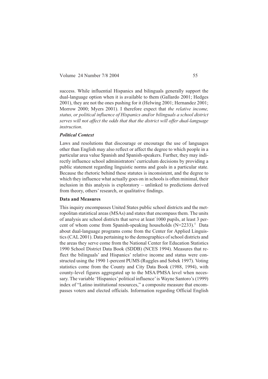success. While influential Hispanics and bilinguals generally support the dual-language option when it is available to them (Gallardo 2001; Hedges 2001), they are not the ones pushing for it (Helwing 2001; Hernandez 2001; Morrow 2000; Myers 2001). I therefore expect that *the relative income, status, or political influence of Hispanics and/or bilinguals a school district serves will not affect the odds that that the district will offer dual-language instruction*.

#### *Political Context*

Laws and resolutions that discourage or encourage the use of languages other than English may also reflect or affect the degree to which people in a particular area value Spanish and Spanish-speakers. Further, they may indirectly influence school administrators' curriculum decisions by providing a public statement regarding linguistic norms and goals in a particular state. Because the rhetoric behind these statutes is inconsistent, and the degree to which they influence what actually goes on in schools is often minimal, their inclusion in this analysis is exploratory – unlinked to predictions derived from theory, others' research, or qualitative findings.

#### **Data and Measures**

This inquiry encompasses United States public school districts and the metropolitan statistical areas (MSAs) and states that encompass them. The units of analysis are school districts that serve at least 1000 pupils, at least 3 percent of whom come from Spanish-speaking households  $(N=2233)$ .<sup>5</sup> Data about dual-language programs come from the Center for Applied Linguistics (CAL 2001). Data pertaining to the demographics of school districts and the areas they serve come from the National Center for Education Statistics 1990 School District Data Book (SDDB) (NCES 1994). Measures that reflect the bilinguals' and Hispanics' relative income and status were constructed using the 1990 1-percent PUMS (Ruggles and Sobek 1997). Voting statistics come from the County and City Data Book (1988, 1994), with county-level figures aggregated up to the MSA/PMSA level when necessary. The variable 'Hispanics'political influence'is Wayne Santoro's (1999) index of "Latino institutional resources," a composite measure that encompasses voters and elected officials. Information regarding Official English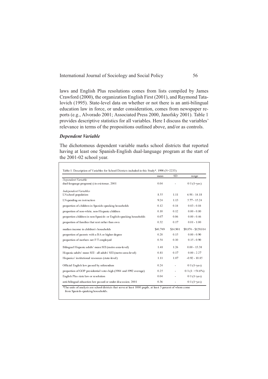laws and English Plus resolutions comes from lists compiled by James Crawford (2000), the organization English First (2001), and Raymond Tatalovich (1995). State-level data on whether or not there is an anti-bilingual education law in force, or under consideration, comes from newspaper reports (e.g., Alvorado 2001; Associated Press 2000, Janofsky 2001). Table 1 provides descriptive statistics for all variables. Here I discuss the variables' relevance in terms of the propositions outlined above, and/or as controls.

#### *Dependent Variable*

The dichotomous dependent variable marks school districts that reported having at least one Spanish-English dual-language program at the start of the 2001-02 school year.

|                                                                    | mean     | <b>SD</b> | range               |
|--------------------------------------------------------------------|----------|-----------|---------------------|
| Dependent Variable                                                 |          |           |                     |
| dual-language program(s) in existence, 2001                        | 0.04     |           | $0/1$ (1=yes)       |
| Independent Variables                                              |          |           |                     |
| LNschool population                                                | 855      | 111       | $691 - 1418$        |
| LNspending on instruction                                          | 924      | 113       | $577 - 1524$        |
| proportion of children in Spanish-speaking households              | 0.12     | 014       | $0.03 - 0.84$       |
| proportion of non-white, non-Hispanic children                     | 010      | 012       | $0.00 - 0.80$       |
| proportion children in non-Spanish- or English-speaking households | 0.07     | 0.06      | $0.00 - 0.46$       |
| proportion of families that rent rather than own                   | 0.32     | 0.17      | $0.01 - 1.00$       |
| median income in children's households                             | \$40.749 | \$14.901  | \$9,874 - \$129,014 |
| proportion of parents with a BA or higher degree                   | 020      | 0.15      | $0.00 - 0.90$       |
| proportion of mothers not F/T employed                             | 0.54     | 010       | $0.15 - 0.90$       |
| Bilingual Hispanic adults' mean SEI (metro area-level)             | 148      | 1 2 6     | $0.00 - 13.38$      |
| Hispanic adults' mean SEI : all adults' SEI (metro area-level)     | 0.81     | 017       | $0.00 - 2.27$       |
| Hispanics' institutional resources (state-level)                   | 1.11     | 1.87      | $-0.92 - 10.85$     |
| Official English law passed by referendum                          | 0 24     |           | $0/1$ (1=yes)       |
| proportion of GOP presidential votes high (1984 and 1992 average)  | 0.25     | ÷         | $0/1$ (1: >54.6%)   |
| English Plus state law or resolution                               | 0.04     |           | $0/1$ (1=yes)       |
| anti-bilingual education law passed or under discussion, 2001      | 0.36     |           | $0/1$ (1=yes)       |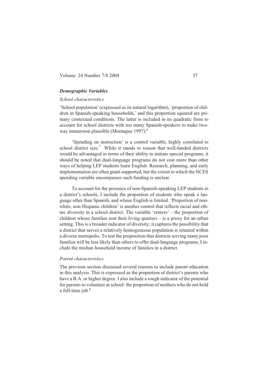### *Demographic Variables*

#### *School characteristics*

'School population' (expressed as its natural logarithm), 'proportion of children in Spanish-speaking households,' and this proportion squared are primary contextual conditions. The latter is included in its quadratic form to account for school districts with too many Spanish-speakers to make twoway immersion plausible (Montague 1997).

'Spending on instruction' is a control variable, highly correlated to school district size.<sup>7</sup> While it stands to reason that well-funded districts would be advantaged in terms of their ability to initiate special programs, it should be noted that dual-language programs do not cost more than other ways of helping LEP students learn English. Research, planning, and early implementation are often grant-supported, but the extent to which the NCES spending variable encompasses such funding is unclear.

To account for the presence of non-Spanish-speaking LEP students in a district's schools, I include the proportion of students who speak a language other than Spanish, and whose English is limited. 'Proportion of nonwhite, non-Hispanic children' is another control that reflects racial and ethnic diversity in a school district. The variable 'renters' – the proportion of children whose families rent their living quarters – is a proxy for an urban setting. This is a broader indicator of diversity; it captures the possibility that a district that serves a relatively homogeneous population is situated within a diverse metropolis. To test the proposition that districts serving many poor families will be less likely than others to offer dual-language programs, I include the median household income of families in a district.

#### *Parent characteristics*

The previous section discussed several reasons to include parent education in this analysis. This is expressed as the proportion of district's parents who have a B.A. or higher degree. I also include a rough indicator of the potential for parents to volunteer at school: the proportion of mothers who do not hold a full-time job.<sup>8</sup>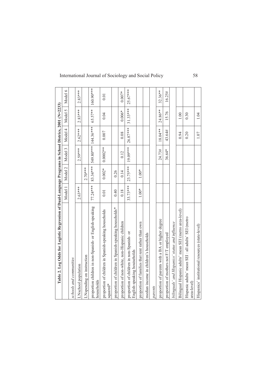| Table 2. Log Odds for Logistic Regression of Dual-Language Programs in School Districs, 2001 (N=2233) |           |             |            |                     |            |            |
|-------------------------------------------------------------------------------------------------------|-----------|-------------|------------|---------------------|------------|------------|
|                                                                                                       | Model 1   | Model 2     | Model 3    | Model 4             | Model 5    | Model 6    |
| schools and communities                                                                               |           |             |            |                     |            |            |
| LNschool population                                                                                   | $2.63***$ |             | $2.59***$  | $2.62***$           | $2.83***$  | $2.83***$  |
| LNspending on instruction                                                                             |           | $2.70***$   |            |                     |            |            |
| proportion children in non-Spanish- or English-speaking<br>households                                 | 77.24***  | 83.34***    |            | 549.80*** 144.36*** | 65.57**    | 160.90***  |
| proportion of children in Spanish-speaking households<br>squared*                                     | 0.01      | $0.002*$    | $0.0002**$ | 0.007               | 0.04       | 0.01       |
| proportion of children in Spanish-speaking households*                                                | 0.40      | 0.26        |            |                     |            |            |
| proportion of non-white, non-Hispanic children                                                        | 0.18      | 0.14        | 0.12       | 0.08                | $0.006*$   | $0.007*$   |
| proportion of children in non-Spanish- or<br>English-speaking houiseholds                             | 33.73***  | 23.75***    | 19.09***   | 26.87***            | $31.33***$ | $25.67***$ |
| proportion of families that rent rather than own                                                      | $1.00*$   | $1.00\,{*}$ |            |                     |            |            |
| median income in children's households                                                                |           |             |            |                     |            |            |
| parents                                                                                               |           |             |            |                     |            |            |
| proportion of parents with a BA or higher degree                                                      |           |             | 24.73#     | 18.04**             | 24.86**    | 32.36**    |
| proportion of mothers not F/T employed                                                                |           |             | 36.64*     | 43.64#              | 15.76      | 16.25#     |
| bilinguals' and Hispanics' status and influence                                                       |           |             |            |                     |            |            |
| Bilingual Hispanic adults' mean SEI (metro area-level)                                                |           |             |            | 0.94                | 1.00       |            |
| Hispanic adults' mean SEI : all adults' SEI (metro<br>area-level)                                     |           |             |            | 0.20                | 0.30       |            |
| Hispanics' institutional resources (state-level)                                                      |           |             |            | 1.07                | 1.04       |            |
|                                                                                                       |           |             |            |                     |            |            |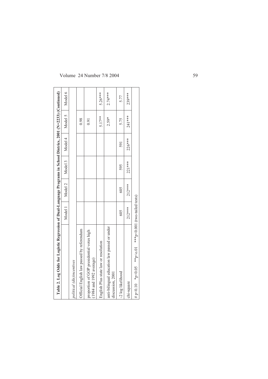| Table 2. Log Odds for Logistic Regression of Dual-Language Programs in School Districs, 2001 (N=2233) (Continued) |          |          |         |          |          |           |
|-------------------------------------------------------------------------------------------------------------------|----------|----------|---------|----------|----------|-----------|
|                                                                                                                   | Model 1  | Model 2  | Model 3 | Model 4  | Model 5  | Model 6   |
| political (dis)incentives                                                                                         |          |          |         |          |          |           |
| Official English law passed by referendum                                                                         |          |          |         |          | 0.98     |           |
| proportion of GOP presidential votes high<br>(1984 and 1992 average)                                              |          |          |         |          | 0.91     |           |
| English Plus state law or resolution                                                                              |          |          |         |          | 5.17**   | $5.26***$ |
| anti-bilingual education law passed or under<br>discussion, 2001                                                  |          |          |         |          | $2.59*$  | $2.74***$ |
| -2 log likelihood                                                                                                 | 605      | 605      | 595     | 591      | 5.75     | 5.77      |
| chi-square                                                                                                        | $212***$ | $212***$ | 221 *** | $226***$ | $241***$ | 239***    |
| # p<0.10 * p<0.05 * p<0.01 *** p<0.01 (two-tailed tests)                                                          |          |          |         |          |          |           |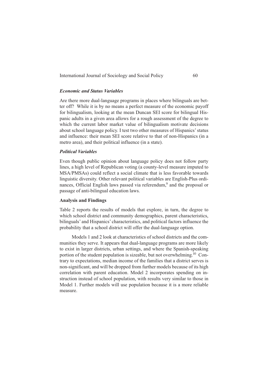#### *Economic and Status Variables*

Are there more dual-language programs in places where bilinguals are better off? While it is by no means a perfect measure of the economic payoff for bilingualism, looking at the mean Duncan SEI score for bilingual Hispanic adults in a given area allows for a rough assessment of the degree to which the current labor market value of bilingualism motivate decisions about school language policy. I test two other measures of Hispanics' status and influence: their mean SEI score relative to that of non-Hispanics (in a metro area), and their political influence (in a state).

#### *Political Variables*

Even though public opinion about language policy does not follow party lines, a high level of Republican voting (a county-level measure imputed to MSA/PMSAs) could reflect a social climate that is less favorable towards linguistic diversity. Other relevant political variables are English-Plus ordinances, Official English laws passed via referendum, $9$  and the proposal or passage of anti-bilingual education laws.

#### **Analysis and Findings**

Table 2 reports the results of models that explore, in turn, the degree to which school district and community demographics, parent characteristics, bilinguals' and Hispanics' characteristics, and political factors influence the probability that a school district will offer the dual-language option.

Models 1 and 2 look at characteristics of school districts and the communities they serve. It appears that dual-language programs are more likely to exist in larger districts, urban settings, and where the Spanish-speaking portion of the student population is sizeable, but not overwhelming.<sup>10</sup> Contrary to expectations, median income of the families that a district serves is non-significant, and will be dropped from further models because of its high correlation with parent education. Model 2 incorporates spending on instruction instead of school population, with results very similar to those in Model 1. Further models will use population because it is a more reliable measure.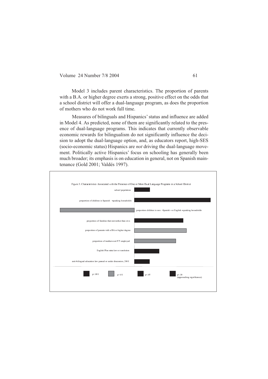Model 3 includes parent characteristics. The proportion of parents with a B.A. or higher degree exerts a strong, positive effect on the odds that a school district will offer a dual-language program, as does the proportion of mothers who do not work full time.

Measures of bilinguals and Hispanics' status and influence are added in Model 4. As predicted, none of them are significantly related to the presence of dual-language programs. This indicates that currently observable economic rewards for bilingualism do not significantly influence the decision to adopt the dual-language option, and, as educators report, high-SES (socio-economic status) Hispanics are *not* driving the dual-language movement. Politically active Hispanics' focus on schooling has generally been much broader; its emphasis is on education in general, not on Spanish maintenance (Gold 2001; Valdés 1997).

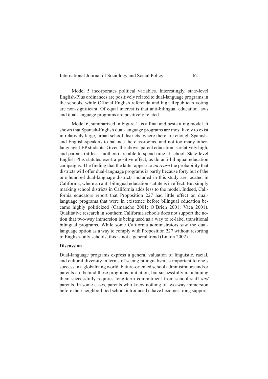Model 5 incorporates political variables. Interestingly, state-level English-Plus ordinances are positively related to dual-language programs in the schools, while Official English referenda and high Republican voting are non-significant. Of equal interest is that anti-bilingual education laws and dual-language programs are positively related.

Model 6, summarized in Figure 1, is a final and best-fitting model. It shows that Spanish-English dual-language programs are most likely to exist in relatively large, urban school districts, where there are enough Spanishand English-speakers to balance the classrooms, and not too many otherlanguage LEP students. Given the above, parent education is relatively high, and parents (at least mothers) are able to spend time at school. State-level English Plus statutes exert a positive effect, as do anti-bilingual education campaigns. The finding that the latter appear to *increase* the probability that districts will offer dual-language programs is partly because forty out of the one hundred dual-language districts included in this study are located in California, where an anti-bilingual education statute is in effect. But simply marking school districts in California adds less to the model. Indeed, California educators report that Proposition 227 had little effect on duallanguage programs that were in existence before bilingual education became highly politicized (Camancho 2001; O'Brien 2001; Vaca 2001). Qualitative research in southern California schools does not support the notion that two-way immersion is being used as a way to re-label transitional bilingual programs. While some California administrators saw the duallanguage option as a way to comply with Proposition 227 without resorting to English-only schools, this is not a general trend (Linton 2002).

#### **Discussion**

Dual-language programs express a general valuation of linguistic, racial, and cultural diversity in terms of seeing bilingualism as important to one's success in a globalizing world. Future-oriented school administrators and/or parents are behind these programs' initiation, but successfully maintaining them successfully requires long-term commitment from school staff *and* parents. In some cases, parents who knew nothing of two-way immersion before their neighborhood school introduced it have become strong support-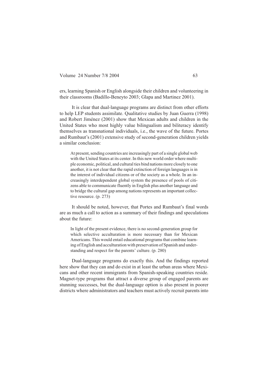ers, learning Spanish or English alongside their children and volunteering in their classrooms (Badillo-Beneyto 2003; Glapa and Martinez 2001).

It is clear that dual-language programs are distinct from other efforts to help LEP students assimilate. Qualitative studies by Juan Guerra (1998) and Robert Jiménez (2001) show that Mexican adults and children in the United States who most highly value bilingualism and biliteracy identify themselves as transnational individuals, i.e., the wave of the future. Portes and Rumbaut's (2001) extensive study of second-generation children yields a similar conclusion:

At present, sending countries are increasingly part of a single global web with the United States at its center. In this new world order where multiple economic, political, and cultural ties bind nations more closely to one another, it is not clear that the rapid extinction of foreign languages is in the interest of individual citizens or of the society as a whole. In an increasingly interdependent global system the presence of pools of citizens able to communicate fluently in English plus another language and to bridge the cultural gap among nations represents an important collective resource. (p. 273)

It should be noted, however, that Portes and Rumbaut's final words are as much a call to action as a summary of their findings and speculations about the future:

In light of the present evidence, there is no second-generation group for which selective acculturation is more necessary than for Mexican Americans. This would entail educational programs that combine learning of English and acculturation with preservation of Spanish and understanding and respect for the parents' culture. (p. 280)

Dual-language programs do exactly this. And the findings reported here show that they can and do exist in at least the urban areas where Mexicans and other recent immigrants from Spanish-speaking countries reside. Magnet-type programs that attract a diverse group of engaged parents are stunning successes, but the dual-language option is also present in poorer districts where administrators and teachers must actively recruit parents into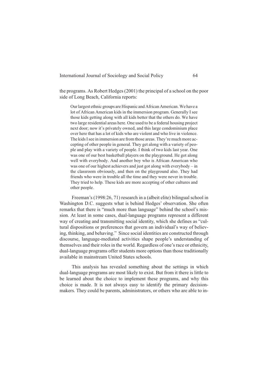the programs. As Robert Hedges (2001) the principal of a school on the poor side of Long Beach, California reports:

Our largest ethnic groups are Hispanic and African American. We have a lot of African American kids in the immersion program. Generally I see those kids getting along with all kids better that the others do. We have two large residential areas here. One used to be a federal housing project next door; now it's privately owned, and this large condominium place over here that has a lot of kids who are violent and who live in violence. The kids I see in immersion are from those areas. They're much more accepting of other people in general. They get along with a variety of people and play with a variety of people. I think of two kids last year. One was one of our best basketball players on the playground. He got along well with everybody. And another boy who is African American who was one of our highest achievers and just got along with everybody – in the classroom obviously, and then on the playground also. They had friends who were in trouble all the time and they were never in trouble. They tried to help. These kids are more accepting of other cultures and other people.

Freeman's (1998:26, 71) research in a (albeit elite) bilingual school in Washington D.C. suggests what is behind Hedges' observation. She often remarks that there is "much more than language" behind the school's mission. At least in some cases, dual-language programs represent a different way of creating and transmitting social identity, which she defines as "cultural dispositions or preferences that govern an individual's way of believing, thinking, and behaving." Since social identities are constructed through discourse, language-mediated activities shape people's understanding of themselves and their roles in the world. Regardless of one's race or ethnicity, dual-language programs offer students more options than those traditionally available in mainstream United States schools.

This analysis has revealed something about the settings in which dual-language programs are most likely to exist. But from it there is little to be learned about the choice to implement these programs, and why this choice is made. It is not always easy to identify the primary decisionmakers. They could be parents, administrators, or others who are able to in-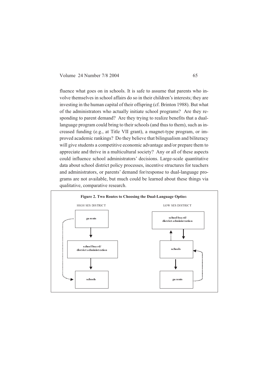fluence what goes on in schools. It is safe to assume that parents who involve themselves in school affairs do so in their children's interests; they are investing in the human capital of their offspring (cf. Brinton 1988). But what of the administrators who actually initiate school programs? Are they responding to parent demand? Are they trying to realize benefits that a duallanguage program could bring to their schools (and thus to them), such as increased funding (e.g., at Title VII grant), a magnet-type program, or improved academic rankings? Do they believe that bilingualism and biliteracy will give students a competitive economic advantage and/or prepare them to appreciate and thrive in a multicultural society? Any or all of these aspects could influence school administrators' decisions. Large-scale quantitative data about school district policy processes, incentive structures for teachers and administrators, or parents' demand for/response to dual-language programs are not available, but much could be learned about these things via qualitative, comparative research.

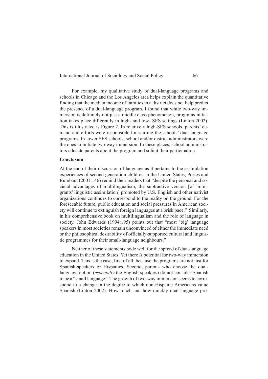For example, my qualitative study of dual-language programs and schools in Chicago and the Los Angeles area helps explain the quantitative finding that the median income of families in a district does not help predict the presence of a dual-language program. I found that while two-way immersion is definitely not just a middle class phenomenon, programs initiation takes place differently in high- and low- SES settings (Linton 2002). This is illustrated is Figure 2. In relatively high-SES schools, parents' demand and efforts were responsible for starting the schools' dual-language programs. In lower SES schools, school and/or district administrators were the ones to initiate two-way immersion. In these places, school administrators educate parents about the program and solicit their participation.

#### **Conclusion**

At the end of their discussion of language as it pertains to the assimilation experiences of second generation children in the United States, Portes and Rumbaut (2001:146) remind their readers that "despite the personal and societal advantages of multilingualism, the subtractive version [of immigrants' linguistic assimilation] promoted by U.S. English and other nativist organizations continues to correspond to the reality on the ground. For the foreseeable future, public education and social pressures in American society will continue to extinguish foreign languages at a brisk pace." Similarly, in his comprehensive book on multilingualism and the role of language in society, John Edwards (1994:195) points out that "most 'big' language speakers in most societies remain unconvinced of either the immediate need or the philosophical desirability of officially-supported cultural and linguistic programmes for their small-language neighbours."

Neither of these statements bode well for the spread of dual-language education in the United States. Yet there *is* potential for two-way immersion to expand. This is the case, first of all, because the programs are not just for Spanish-speakers or Hispanics. Second, parents who choose the duallanguage option (*especially* the English-speakers) do not consider Spanish to be a "small language." The growth of two-way immersion seems to correspond to a change in the degree to which non-Hispanic Americans value Spanish (Linton 2002). How much and how quickly dual-language pro-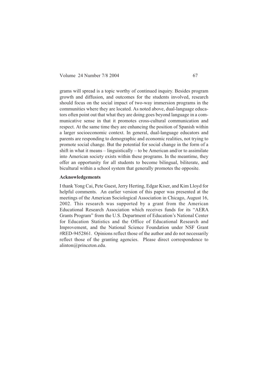grams will spread is a topic worthy of continued inquiry. Besides program growth and diffusion, and outcomes for the students involved, research should focus on the social impact of two-way immersion programs in the communities where they are located. As noted above, dual-language educators often point out that what they are doing goes beyond language in a communicative sense in that it promotes cross-cultural communication and respect. At the same time they are enhancing the position of Spanish within a larger socioeconomic context. In general, dual-language educators and parents are responding to demographic and economic realities, not trying to promote social change. But the potential for social change in the form of a shift in what it means  $-$  linguistically  $-$  to be American and/or to assimilate into American society exists within these programs. In the meantime, they offer an opportunity for all students to become bilingual, biliterate, and bicultural within a school system that generally promotes the opposite.

#### **Acknowledgements**

I thank Yong Cai, Pete Guest, Jerry Herting, Edgar Kiser, and Kim Lloyd for helpful comments. An earlier version of this paper was presented at the meetings of the American Sociological Association in Chicago, August 16, 2002. This research was supported by a grant from the American Educational Research Association which receives funds for its "AERA Grants Program" from the U.S. Department of Education's National Center for Education Statistics and the Office of Educational Research and Improvement, and the National Science Foundation under NSF Grant #RED-9452861. Opinions reflect those of the author and do not necessarily reflect those of the granting agencies. Please direct correspondence to alinton@princeton.edu.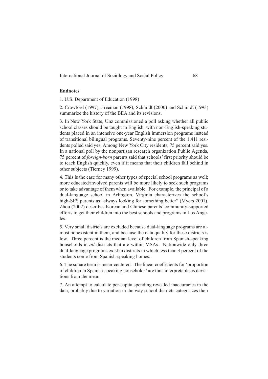### **Endnotes**

1. U.S. Department of Education (1998)

2. Crawford (1997), Freeman (1998), Schmidt (2000) and Schmidt (1993) summarize the history of the BEA and its revisions.

3. In New York State, Unz commissioned a poll asking whether all public school classes should be taught in English, with non-English-speaking students placed in an intensive one-year English immersion programs instead of transitional bilingual programs. Seventy-nine percent of the 1,411 residents polled said yes. Among New York City residents, 75 percent said yes. In a national poll by the nonpartisan research organization Public Agenda, 75 percent of *foreign-born* parents said that schools' first priority should be to teach English quickly, even if it means that their children fall behind in other subjects (Tierney 1999).

4. This is the case for many other types of special school programs as well; more educated/involved parents will be more likely to seek such programs or to take advantage of them when available. For example, the principal of a dual-language school in Arlington, Virginia characterizes the school's high-SES parents as "always looking for something better" (Myers 2001). Zhou (2002) describes Korean and Chinese parents' community-supported efforts to get their children into the best schools and programs in Los Angeles.

5. Very small districts are excluded because dual-language programs are almost nonexistent in them, and because the data quality for these districts is low. Three percent is the median level of children from Spanish-speaking households in *all* districts that are within MSAs. Nationwide only three dual-language programs exist in districts in which less than 3 percent of the students come from Spanish-speaking homes.

6. The square term is mean-centered. The linear coefficients for 'proportion of children in Spanish-speaking households' are thus interpretable as deviations from the mean.

7. An attempt to calculate per-capita spending revealed inaccuracies in the data, probably due to variation in the way school districts categorizes their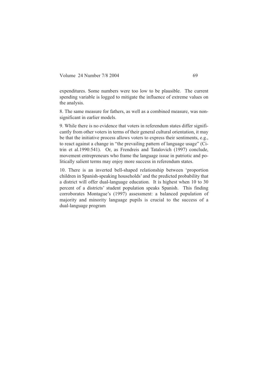expenditures. Some numbers were too low to be plausible. The current spending variable is logged to mitigate the influence of extreme values on the analysis.

8. The same measure for fathers, as well as a combined measure, was nonsignificant in earlier models.

9. While there is no evidence that voters in referendum states differ significantly from other voters in terms of their general cultural orientation, it may be that the initiative process allows voters to express their sentiments, e.g., to react against a change in "the prevailing pattern of language usage" (Citrin et al.1990:541). Or, as Frendreis and Tatalovich (1997) conclude, movement entrepreneurs who frame the language issue in patriotic and politically salient terms may enjoy more success in referendum states.

10. There is an inverted bell-shaped relationship between 'proportion children in Spanish-speaking households' and the predicted probability that a district will offer dual-language education. It is highest when 10 to 30 percent of a districts' student population speaks Spanish. This finding corroborates Montague's (1997) assessment: a balanced population of majority and minority language pupils is crucial to the success of a dual-language program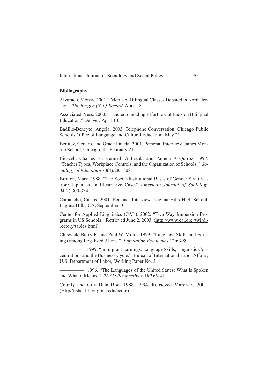### **Bibliography**

Alvarado, Monsy. 2001. "Merits of Bilingual Classes Debated in North Jersey." *The Bergen (N.J.) Record*, April 18.

Associated Press. 2000. "Tancredo Leading Effort to Cut Back on Bilingual Education." Denver: April 13.

Badillo-Beneyto, Angela. 2003. Telephone Conversation. Chicago Public Schools Office of Language and Cultural Education. May 21.

Benitez, Genaro, and Grace Pineda. 2001. Personal Interview. James Monroe School, Chicago, IL. February 21.

Bidwell, Charles E., Kenneth A Frank, and Pamela A Quiroz. 1997. "Teacher Types, Workplace Controls, and the Organization of Schools." *Sociology of Education* 70(4):285-308.

Brinton, Mary. 1988. "The Social-Institutional Bases of Gender Stratification: Japan as an Illustrative Case." *American Journal of Sociology* 94(2):300-334.

Camancho, Carlos. 2001. Personal Interview. Laguna Hills High School, Laguna Hills, CA, September 10.

Center for Applied Linguistics (CAL). 2002. "Two Way Immersion Programs in US Schools." Retrieved June 2, 2003 (http://www.cal.org /twi/directory/tables.html).

Chiswick, Barry R. and Paul W. Miller. 1999. "Language Skills and Earnings among Legalized Aliens." *Population Economics* 12:63-89.

—————. 1999. "Immigrant Earnings: Language Skills, Linguistic Concentrations and the Business Cycle." Bureau of International Labor Affairs, U.S. Department of Labor, Working Paper No. 31.

—————. 1996. "The Languages of the United States: What is Spoken and What it Means." *READ Perspectives* III(2):5-41.

County and City Data Book.1988, 1994. Retrieved March 5, 2001. (Http//fisher.lib.virginia.edu/ccdb/).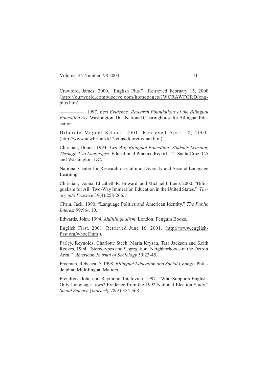Crawford, James. 2000. "English Plus." Retrieved February 15, 2000 (http://ourworld.compuserve.com/homepages/JWCRAWFORD/engplus.htm).

—————. 1997. *Best Evidence: Research Foundations of the Bilingual Education Act*. Washington, DC: National Clearinghouse for Bilingual Education.

DiLoreto Magnet School. 2001. Retrieved April 18, 2001. (http://www.newbritain.k12.ct.us/diloreto/dual.htm).

Christian, Donna. 1994. *Two-Way Bilingual Education: Students Learning Through Two Languages*. Educational Practice Report: 12. Santa Cruz, CA and Washington, DC:

National Center for Research on Cultural Diversity and Second Language Learning.

Christian, Donna, Elizabeth R. Howard, and Michael I. Loeb. 2000. "Bilingualism for All: Two-Way Immersion Education in the United States." *Theory into Practice* 39(4):258-266.

Citrin, Jack. 1990. "Language Politics and American Identity." *The Public Interest* 99:96-110.

Edwards, John. 1994. *Multilingualism*. London: Penguin Books.

English First. 2001. Retrieved June 16, 2001. (http://www.englishfirst.org/whoef.htm ).

Farley, Reynolds, Charlotte Steeh, Maria Krysan, Tara Jackson and Keith Reeves. 1994. "Stereotypes and Segregation: Neighborhoods in the Detroit Area." *American Journal of Sociology* 59:23-45.

Freeman, Rebecca D. 1998. *Bilingual Education and Social Change*. Philadelphia: Multilingual Matters.

Frendreis, John and Raymond Tatalovich. 1997. "Who Supports English-Only Language Laws? Evidence from the 1992 National Election Study." *Social Science Quarterly* 78(2):354-368.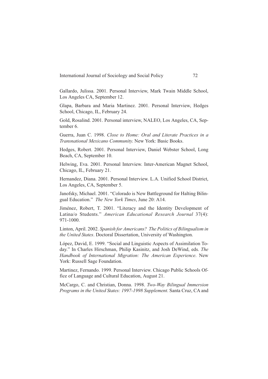Gallardo, Julissa. 2001. Personal Interview, Mark Twain Middle School, Los Angeles CA, September 12.

Glapa, Barbara and Maria Martinez. 2001. Personal Interview, Hedges School, Chicago, IL, February 24.

Gold, Rosalind. 2001. Personal interview, NALEO, Los Angeles, CA, September 6.

Guerra, Juan C. 1998. *Close to Home: Oral and Literate Practices in a Transnational Mexicano Community*. New York: Basic Books.

Hedges, Robert. 2001. Personal Interview, Daniel Webster School, Long Beach, CA, September 10.

Helwing, Eva. 2001. Personal Interview. Inter-American Magnet School, Chicago, IL, February 21.

Hernandez, Diana. 2001. Personal Interview. L.A. Unified School District, Los Angeles, CA, September 5.

Janofsky, Michael. 2001. "Colorado is New Battleground for Halting Bilingual Education." *The New York Times*, June 20: A14.

Jiménez, Robert, T. 2001. "Literacy and the Identity Development of Latina/o Students." *American Educational Research Journal* 37(4): 971-1000.

Linton, April. 2002. *Spanish for Americans? The Politics of Bilingualism in the United States*. Doctoral Dissertation, University of Washington.

López, David, E. 1999. "Social and Linguistic Aspects of Assimilation Today." In Charles Hirschman, Philip Kasinitz, and Josh DeWind, eds. *The Handbook of International Migration: The American Experience*. New York: Russell Sage Foundation.

Martinez, Fernando. 1999. Personal Interview. Chicago Public Schools Office of Language and Cultural Education, August 21.

McCargo, C. and Christian, Donna. 1998. *Two-Way Bilingual Immersion Programs in the United States: 1997-1998 Supplement*. Santa Cruz, CA and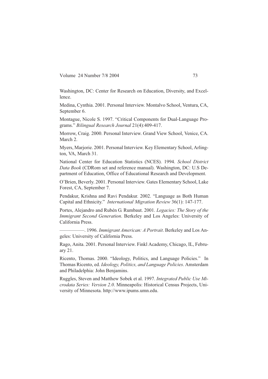Washington, DC: Center for Research on Education, Diversity, and Excellence.

Medina, Cynthia. 2001. Personal Interview. Montalvo School, Ventura, CA, September 6.

Montague, Nicole S. 1997. "Critical Components for Dual-Language Programs." *Bilingual Research Journal* 21(4):409-417.

Morrow, Craig. 2000. Personal Interview. Grand View School, Venice, CA. March 2.

Myers, Marjorie. 2001. Personal Interview. Key Elementary School, Arlington, VA, March 31.

National Center for Education Statistics (NCES). 1994. *School District Data Book* (CDRom set and reference manual). Washington, DC: U.S Department of Education, Office of Educational Research and Development.

O'Brien, Beverly. 2001. Personal Interview. Gates Elementary School, Lake Forest, CA, September 7.

Pendakur, Krishna and Ravi Pendakur. 2002. "Language as Both Human Capital and Ethnicity." *International Migration Review* 36(1): 147-177.

Portes, Alejandro and Rubén G. Rumbaut. 2001. *Legacies: The Story of the Immigrant Second Generation*. Berkeley and Los Angeles: University of California Press.

—————. 1996. *Immigrant American: A Portrait*. Berkeley and Los Angeles: University of California Press.

Rago, Anita. 2001. Personal Interview. Finkl Academy, Chicago, IL, February 21.

Ricento, Thomas. 2000. "Ideology, Politics, and Language Policies." In Thomas Ricento, ed. *Ideology, Politics, and Language Policies*. Amsterdam and Philadelphia: John Benjamins.

Ruggles, Steven and Matthew Sobek et al. 1997. *Integrated Public Use Microdata Series: Version 2.0*. Minneapolis: Historical Census Projects, University of Minnesota. http://www.ipums.umn.edu.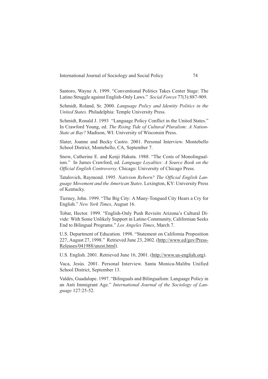Santoro, Wayne A. 1999. "Conventional Politics Takes Center Stage: The Latino Struggle against English-Only Laws." *Social Forces* 77(3):887-909.

Schmidt, Roland, Sr. 2000. *Language Policy and Identity Politics in the United States.* Philadelphia: Temple University Press.

Schmidt, Ronald J. 1993 "Language Policy Conflict in the United States." In Crawford Young, ed. *The Rising Tide of Cultural Pluralism: A Nation-State at Bay?* Madison, WI: University of Wisconsin Press.

Slater, Joanne and Becky Castro. 2001. Personal Interview. Montebello School District, Montebello, CA, September 7.

Snow, Catherine E. and Kenji Hakuta. 1988. "The Costs of Monolingualism." In James Crawford, ed. *Language Loyalties: A Source Book on the Official English Controversy*. Chicago: University of Chicago Press.

Tatalovich, Raymond. 1995. *Nativism Reborn? The Official English Language Movement and the American States*. Lexington, KY: University Press of Kentucky.

Tierney, John. 1999. "The Big City: A Many-Tongued City Hears a Cry for English." *New York Times*, August 16.

Tobar, Hector. 1999. "English-Only Push Revisits Arizona's Cultural Divide: With Some Unlikely Support in Latino Community, Californian Seeks End to Bilingual Programs." *Los Angeles Times*, March 7.

U.S. Department of Education. 1998. "Statement on California Proposition 227, August 27, 1998." Retrieved June 23, 2002. (http://www.ed/gov/Press-Releases/041988/unzst.html).

U.S. English. 2001. Retrieved June 16, 2001. (http://www.us-english.org).

Vaca, Jesús. 2001. Personal Interview. Santa Monica-Malibu Unified School District, September 13.

Valdés, Guadalupe. 1997. "Bilinguals and Bilingualism: Language Policy in an Anti Immigrant Age." *International Journal of the Sociology of Language* 127:25-52.